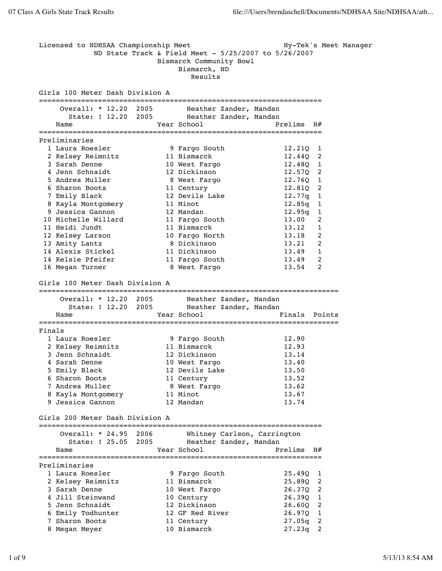Licensed to NDHSAA Championship Meet Hy-Tek's Meet Manager ND State Track & Field Meet - 5/25/2007 to 5/26/2007 Bismarck Community Bowl Bismarck, ND Results Girls 100 Meter Dash Division A =================================================================== Overall: \* 12.20 2005 Heather Zander, Mandan State: ! 12.20 2005 Heather Zander, Mandan Name Tear School Prelims H# =================================================================== Preliminaries 1 Laura Roesler 9 Fargo South 12.21Q 1 2 Kelsey Reimnitz 11 Bismarck 12.44Q 2 3 Sarah Denne 10 West Fargo 12.48Q 1 4 Jenn Schnaidt 12 Dickinson 12.57Q 2 5 Andrea Muller 8 West Fargo 12.760 1 6 Sharon Boots 11 Century 12.81Q 2 7 Emily Black 12 Devils Lake 12.77q 1 8 Kayla Montgomery 11 Minot 12.85q 1 9 Jessica Gannon 12 Mandan 12.95q 1 10 Michelle Willard 11 Fargo South 13.00 2 11 Heidi Jundt 11 Bismarck 13.12 1 12 Kelsey Larson 10 Fargo North 13.18 2 13 Amity Lantz 8 Dickinson 13.21 2 14 Alexis Stickel 11 Dickinson 13.49 1 14 Kelsie Pfeifer 11 Fargo South 13.49 2 16 Megan Turner 8 West Fargo 13.54 2 Girls 100 Meter Dash Division A ======================================================================= Overall: \* 12.20 2005 Heather Zander, Mandan State: ! 12.20 2005 Heather Zander, Mandan Name  $Year School$  Finals Points ======================================================================= Finals 1 Laura Roesler 9 Fargo South 12.90 2 Kelsey Reimnitz 11 Bismarck 12.93 3 Jenn Schnaidt 12 Dickinson 13.14 4 Sarah Denne 10 West Fargo 13.40 5 Emily Black 12 Devils Lake 13.50 6 Sharon Boots 11 Century 13.52 7 Andrea Muller 8 West Fargo 13.62 8 Kayla Montgomery 11 Minot 13.67 9 Jessica Gannon 12 Mandan 13.74 Girls 200 Meter Dash Division A =================================================================== Overall: \* 24.95 2006 Whitney Carlson, Carrington State: ! 25.05 2005 Heather Zander, Mandan Name Year School Prelims H# =================================================================== Preliminaries 1 Laura Roesler 9 Fargo South 25.49Q 1 2 Kelsey Reimnitz 11 Bismarck 25.89Q 2 3 Sarah Denne 10 West Fargo 26.37Q 2 4 Jill Steinwand 10 Century 26.39Q 1 5 Jenn Schnaidt 12 Dickinson 26.60Q 2 6 Emily Todhunter 12 GF Red River 26.97Q 1 7 Sharon Boots 11 Century 27.05q 2 8 Megan Meyer 10 Bismarck 27.23q 2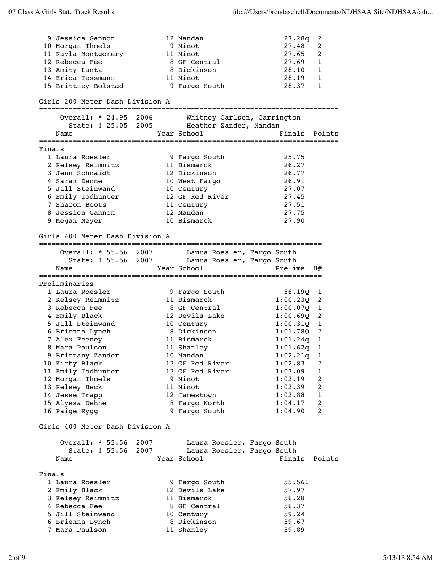|        | 9 Jessica Gannon<br>10 Morgan Ihmels<br>11 Kayla Montgomery<br>12 Rebecca Fee<br>13 Amity Lantz<br>14 Erica Tessmann<br>15 Brittney Bolstad                                                                                                                                                                                |  | 12 Mandan<br>9 Minot<br>11 Minot<br>8 GF Central<br>8 Dickinson<br>11 Minot<br>9 Fargo South                                                                                                                                                         | 27.28q<br>27.48<br>27.65<br>27.69<br>28.10<br>28.19<br>28.37                                                                                                                            | 2<br>2<br>2<br>1<br>1<br>$\mathbf{1}$<br>1                                         |
|--------|----------------------------------------------------------------------------------------------------------------------------------------------------------------------------------------------------------------------------------------------------------------------------------------------------------------------------|--|------------------------------------------------------------------------------------------------------------------------------------------------------------------------------------------------------------------------------------------------------|-----------------------------------------------------------------------------------------------------------------------------------------------------------------------------------------|------------------------------------------------------------------------------------|
|        | Girls 200 Meter Dash Division A                                                                                                                                                                                                                                                                                            |  |                                                                                                                                                                                                                                                      |                                                                                                                                                                                         |                                                                                    |
|        | Overall: * 24.95 2006<br>State: ! 25.05 2005<br>Name                                                                                                                                                                                                                                                                       |  | Whitney Carlson, Carrington<br>Heather Zander, Mandan<br>Year School                                                                                                                                                                                 | Finals                                                                                                                                                                                  | Points                                                                             |
| Finals |                                                                                                                                                                                                                                                                                                                            |  |                                                                                                                                                                                                                                                      |                                                                                                                                                                                         |                                                                                    |
|        | 1 Laura Roesler<br>2 Kelsey Reimnitz<br>3 Jenn Schnaidt<br>4 Sarah Denne<br>5 Jill Steinwand<br>6 Emily Todhunter<br>7 Sharon Boots<br>8 Jessica Gannon                                                                                                                                                                    |  | 9 Fargo South<br>11 Bismarck<br>12 Dickinson<br>10 West Fargo<br>10 Century<br>12 GF Red River<br>11 Century<br>12 Mandan                                                                                                                            | 25.75<br>26.27<br>26.77<br>26.91<br>27.07<br>27.45<br>27.51<br>27.75                                                                                                                    |                                                                                    |
|        | 9 Megan Meyer                                                                                                                                                                                                                                                                                                              |  | 10 Bismarck                                                                                                                                                                                                                                          | 27.90                                                                                                                                                                                   |                                                                                    |
|        | Girls 400 Meter Dash Division A                                                                                                                                                                                                                                                                                            |  |                                                                                                                                                                                                                                                      |                                                                                                                                                                                         |                                                                                    |
|        | Overall: * 55.56 2007<br>State: ! 55.56 2007<br>Name                                                                                                                                                                                                                                                                       |  | Laura Roesler, Fargo South<br>Laura Roesler, Fargo South<br>Year School                                                                                                                                                                              | Prelims                                                                                                                                                                                 | H#                                                                                 |
|        |                                                                                                                                                                                                                                                                                                                            |  |                                                                                                                                                                                                                                                      |                                                                                                                                                                                         |                                                                                    |
|        | Preliminaries<br>1 Laura Roesler<br>2 Kelsey Reimnitz<br>3 Rebecca Fee<br>4 Emily Black<br>5 Jill Steinwand<br>6 Brienna Lynch<br>7 Alex Feeney<br>8 Mara Paulson<br>9 Brittany Zander<br>10 Kirby Black<br>11 Emily Todhunter<br>12 Morgan Ihmels<br>13 Kelsey Beck<br>14 Jesse Trapp<br>15 Alyssa Dehne<br>16 Paige Rygg |  | 9 Fargo South<br>11 Bismarck<br>8 GF Central<br>12 Devils Lake<br>10 Century<br>8 Dickinson<br>11 Bismarck<br>11 Shanley<br>10 Mandan<br>12 GF Red River<br>12 GF Red River<br>9 Minot<br>11 Minot<br>12 Jamestown<br>8 Fargo North<br>9 Fargo South | 58.19Q<br>1:00.23Q<br>1:00.070<br>1:00.69Q<br>1:00.31Q<br>1:01.780<br>1:01.24q<br>1:01.62q<br>$1:02.21q$ 1<br>1:02.83<br>1:03.09<br>1:03.19<br>1:03.39<br>1:03.88<br>1:04.17<br>1:04.90 | 1<br>2<br>1<br>2<br>1<br>2<br>1<br>1<br>2<br>1<br>2<br>2<br>$\mathbf{1}$<br>2<br>2 |
|        | Girls 400 Meter Dash Division A                                                                                                                                                                                                                                                                                            |  |                                                                                                                                                                                                                                                      |                                                                                                                                                                                         |                                                                                    |
|        | Overall: * 55.56 2007<br>State: ! 55.56 2007<br>Name                                                                                                                                                                                                                                                                       |  | Laura Roesler, Fargo South<br>Laura Roesler, Fargo South<br>Year School                                                                                                                                                                              | Finals                                                                                                                                                                                  | Points                                                                             |
| Finals | 1 Laura Roesler<br>2 Emily Black<br>3 Kelsey Reimnitz<br>4 Rebecca Fee<br>5 Jill Steinwand<br>6 Brienna Lynch<br>7 Mara Paulson                                                                                                                                                                                            |  | 9 Fargo South<br>12 Devils Lake<br>11 Bismarck<br>8 GF Central<br>10 Century<br>8 Dickinson<br>11 Shanley                                                                                                                                            | 55.56!<br>57.97<br>58.28<br>58.37<br>59.24<br>59.67<br>59.89                                                                                                                            |                                                                                    |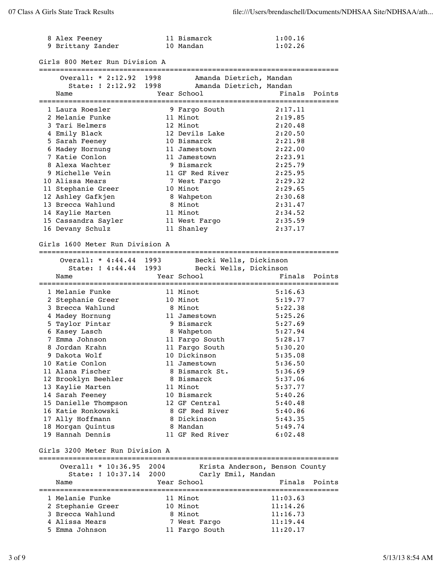| 8 Alex Feeney     | 11 Bismarck | 1:00.16 |
|-------------------|-------------|---------|
| 9 Brittany Zander | 10 Mandan   | 1:02.26 |

| Overall: * 2:12.92 1998               |      | Amanda Dietrich, Mandan                       |                                |
|---------------------------------------|------|-----------------------------------------------|--------------------------------|
|                                       |      | State: ! 2:12.92 1998 Amanda Dietrich, Mandan |                                |
| Name                                  |      | Year School                                   | Finals<br>Points               |
| 1 Laura Roesler                       |      | 9 Fargo South                                 | 2:17.11                        |
| 2 Melanie Funke                       |      | 11 Minot                                      | 2:19.85                        |
| 3 Tari Helmers                        |      | 12 Minot                                      | 2:20.48                        |
|                                       |      | 12 Devils Lake                                | 2:20.50                        |
| 4 Emily Black                         |      | 10 Bismarck                                   | 2:21.98                        |
| 5 Sarah Feeney                        |      | 11 Jamestown                                  |                                |
| 6 Madey Hornung<br>7 Katie Conlon     |      |                                               | 2:22.00                        |
|                                       |      | 11 Jamestown                                  | 2:23.91                        |
| 8 Alexa Wachter                       |      | 9 Bismarck                                    | 2:25.79                        |
| 9 Michelle Vein                       |      | 11 GF Red River                               | 2:25.95                        |
| 10 Alissa Mears                       |      | 7 West Fargo                                  | 2:29.32                        |
| 11 Stephanie Greer                    |      | 10 Minot                                      | 2:29.65                        |
| 12 Ashley Gafkjen                     |      | 8 Wahpeton                                    | 2:30.68                        |
| 13 Brecca Wahlund                     |      | 8 Minot                                       | 2:31.47                        |
| 14 Kaylie Marten                      |      | 11 Minot                                      | 2:34.52                        |
| 15 Cassandra Sayler                   |      | 11 West Fargo                                 | 2:35.59                        |
| 16 Devany Schulz                      |      | 11 Shanley                                    | 2:37.17                        |
| Girls 1600 Meter Run Division A       |      |                                               |                                |
| Overall: * 4:44.44 1993               |      | Becki Wells, Dickinson                        |                                |
| State: ! 4:44.44 1993                 |      | Becki Wells, Dickinson                        |                                |
| Name                                  |      | Year School                                   | Finals<br>Points               |
|                                       |      |                                               |                                |
| 1 Melanie Funke                       |      | 11 Minot                                      | 5:16.63                        |
| 2 Stephanie Greer                     |      | 10 Minot                                      | 5:19.77                        |
|                                       |      |                                               |                                |
|                                       |      |                                               |                                |
| 3 Brecca Wahlund                      |      | 8 Minot                                       | 5:22.38                        |
| 4 Madey Hornung                       |      | 11 Jamestown                                  | 5:25.26                        |
| 5 Taylor Pintar                       |      | 9 Bismarck                                    | 5:27.69                        |
| 6 Kasey Lasch                         |      | 8 Wahpeton                                    | 5:27.94                        |
| 7 Emma Johnson                        |      | 11 Fargo South                                | 5:28.17                        |
| 8 Jordan Krahn                        |      | 11 Fargo South                                | 5:30.20                        |
| 9 Dakota Wolf                         |      | 10 Dickinson                                  | 5:35.08                        |
| 10 Katie Conlon                       |      | 11 Jamestown                                  | 5:36.50                        |
| 11 Alana Fischer                      |      | 8 Bismarck St.                                | 5:36.69                        |
| 12 Brooklyn Beehler                   |      | 8 Bismarck                                    | 5:37.06                        |
| 13 Kaylie Marten                      |      | 11 Minot                                      | 5:37.77                        |
| 14 Sarah Feeney                       |      | 10 Bismarck                                   | 5:40.26                        |
| 15 Danielle Thompson                  |      | 12 GF Central                                 | 5:40.48                        |
| 16 Katie Ronkowski                    |      | 8 GF Red River                                | 5:40.86                        |
| 17 Ally Hoffmann                      |      | 8 Dickinson                                   | 5:43.35                        |
| 18 Morgan Quintus                     |      | 8 Mandan                                      | 5:49.74                        |
| 19 Hannah Dennis                      |      | 11 GF Red River                               | 6:02.48                        |
| Girls 3200 Meter Run Division A       |      |                                               |                                |
| Overall: * 10:36.95 2004              |      |                                               | Krista Anderson, Benson County |
| State: ! 10:37.14                     | 2000 | Carly Emil, Mandan                            |                                |
| Name                                  |      | Year School                                   | Finals<br>Points               |
| 1 Melanie Funke                       |      | 11 Minot                                      | 11:03.63                       |
|                                       |      | 10 Minot                                      | 11:14.26                       |
| 2 Stephanie Greer<br>3 Brecca Wahlund |      | 8 Minot                                       | 11:16.73                       |
| 4 Alissa Mears                        |      | 7 West Fargo                                  | 11:19.44                       |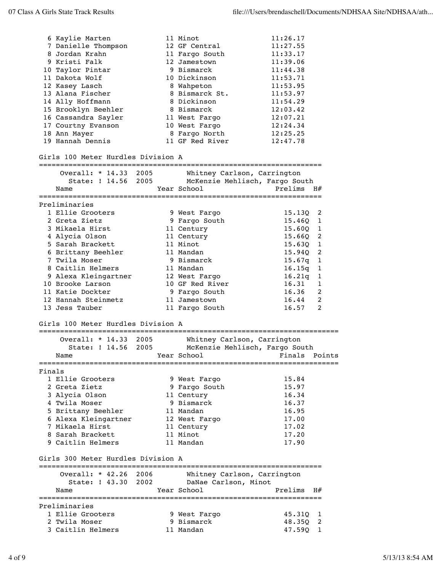|        | 6 Kaylie Marten<br>7 Danielle Thompson<br>8 Jordan Krahn<br>9 Kristi Falk<br>10 Taylor Pintar<br>11 Dakota Wolf<br>12 Kasey Lasch<br>13 Alana Fischer<br>14 Ally Hoffmann<br>15 Brooklyn Beehler<br>16 Cassandra Sayler<br>17 Courtny Evanson<br>18 Ann Mayer<br>19 Hannah Dennis<br>Girls 100 Meter Hurdles Division A |      | 11 Minot<br>12 GF Central<br>11 Fargo South<br>12 Jamestown<br>9 Bismarck<br>10 Dickinson<br>8 Wahpeton<br>8 Bismarck St.<br>8 Dickinson<br>8 Bismarck<br>11 West Fargo<br>10 West Fargo<br>8 Fargo North<br>11 GF Red River | 11:26.17<br>11:27.55<br>11:33.17<br>11:39.06<br>11:44.38<br>11:53.71<br>11:53.95<br>11:53.97<br>11:54.29<br>12:03.42<br>12:07.21<br>12:24.34<br>12:25.25<br>12:47.78 |        |
|--------|-------------------------------------------------------------------------------------------------------------------------------------------------------------------------------------------------------------------------------------------------------------------------------------------------------------------------|------|------------------------------------------------------------------------------------------------------------------------------------------------------------------------------------------------------------------------------|----------------------------------------------------------------------------------------------------------------------------------------------------------------------|--------|
|        |                                                                                                                                                                                                                                                                                                                         |      |                                                                                                                                                                                                                              |                                                                                                                                                                      |        |
|        | Overall: * 14.33 2005<br>State: ! 14.56 2005                                                                                                                                                                                                                                                                            |      | Whitney Carlson, Carrington<br>McKenzie Mehlisch, Fargo South                                                                                                                                                                |                                                                                                                                                                      |        |
|        | Name                                                                                                                                                                                                                                                                                                                    |      | Year School                                                                                                                                                                                                                  | Prelims $H#$                                                                                                                                                         |        |
|        | Preliminaries                                                                                                                                                                                                                                                                                                           |      |                                                                                                                                                                                                                              |                                                                                                                                                                      |        |
|        | 1 Ellie Grooters                                                                                                                                                                                                                                                                                                        |      | 9 West Fargo                                                                                                                                                                                                                 | 15.13Q                                                                                                                                                               | 2      |
|        | 2 Greta Zietz                                                                                                                                                                                                                                                                                                           |      | 9 Fargo South                                                                                                                                                                                                                | 15.460                                                                                                                                                               | 1      |
|        | 3 Mikaela Hirst                                                                                                                                                                                                                                                                                                         |      | 11 Century                                                                                                                                                                                                                   | 15.60Q                                                                                                                                                               | 1      |
|        | 4 Alycia Olson                                                                                                                                                                                                                                                                                                          |      | 11 Century                                                                                                                                                                                                                   | 15.66Q                                                                                                                                                               | 2      |
|        | 5 Sarah Brackett                                                                                                                                                                                                                                                                                                        |      | 11 Minot<br>11 Mandan                                                                                                                                                                                                        | 15.63Q<br>15.94Q                                                                                                                                                     | 1<br>2 |
|        | 6 Brittany Beehler<br>7 Twila Moser                                                                                                                                                                                                                                                                                     |      | 9 Bismarck                                                                                                                                                                                                                   | 15.67q                                                                                                                                                               | 1      |
|        | 8 Caitlin Helmers                                                                                                                                                                                                                                                                                                       |      | 11 Mandan                                                                                                                                                                                                                    | 16.15q                                                                                                                                                               | 1      |
|        | 9 Alexa Kleingartner                                                                                                                                                                                                                                                                                                    |      | 12 West Fargo                                                                                                                                                                                                                | 16.21q                                                                                                                                                               | 1      |
|        | 10 Brooke Larson                                                                                                                                                                                                                                                                                                        |      | 10 GF Red River                                                                                                                                                                                                              | 16.31                                                                                                                                                                | 1      |
|        | 11 Katie Dockter                                                                                                                                                                                                                                                                                                        |      | 9 Fargo South                                                                                                                                                                                                                | 16.36                                                                                                                                                                | 2      |
|        | 12 Hannah Steinmetz                                                                                                                                                                                                                                                                                                     |      | 11 Jamestown                                                                                                                                                                                                                 | 16.44                                                                                                                                                                | 2      |
|        | 13 Jess Tauber                                                                                                                                                                                                                                                                                                          |      | 11 Fargo South                                                                                                                                                                                                               | 16.57                                                                                                                                                                | 2      |
|        | Girls 100 Meter Hurdles Division A                                                                                                                                                                                                                                                                                      |      |                                                                                                                                                                                                                              |                                                                                                                                                                      |        |
|        | Overall: * 14.33 2005                                                                                                                                                                                                                                                                                                   |      | Whitney Carlson, Carrington                                                                                                                                                                                                  |                                                                                                                                                                      |        |
|        | State: ! 14.56                                                                                                                                                                                                                                                                                                          | 2005 | McKenzie Mehlisch, Fargo South                                                                                                                                                                                               |                                                                                                                                                                      |        |
|        | Name                                                                                                                                                                                                                                                                                                                    |      | Year School <a> Finals Points</a>                                                                                                                                                                                            |                                                                                                                                                                      |        |
|        |                                                                                                                                                                                                                                                                                                                         |      |                                                                                                                                                                                                                              |                                                                                                                                                                      |        |
| Finals | 1 Ellie Grooters                                                                                                                                                                                                                                                                                                        |      |                                                                                                                                                                                                                              | 15.84                                                                                                                                                                |        |
|        | 2 Greta Zietz                                                                                                                                                                                                                                                                                                           |      | 9 West Fargo<br>9 Fargo South                                                                                                                                                                                                | 15.97                                                                                                                                                                |        |
|        | 3 Alycia Olson                                                                                                                                                                                                                                                                                                          |      | 11 Century                                                                                                                                                                                                                   | 16.34                                                                                                                                                                |        |
|        | 4 Twila Moser                                                                                                                                                                                                                                                                                                           |      | 9 Bismarck                                                                                                                                                                                                                   | 16.37                                                                                                                                                                |        |
|        | 5 Brittany Beehler                                                                                                                                                                                                                                                                                                      |      | 11 Mandan                                                                                                                                                                                                                    | 16.95                                                                                                                                                                |        |
|        | 6 Alexa Kleingartner                                                                                                                                                                                                                                                                                                    |      | 12 West Fargo                                                                                                                                                                                                                | 17.00                                                                                                                                                                |        |
|        | 7 Mikaela Hirst                                                                                                                                                                                                                                                                                                         |      | 11 Century                                                                                                                                                                                                                   | 17.02                                                                                                                                                                |        |
|        | 8 Sarah Brackett<br>9 Caitlin Helmers                                                                                                                                                                                                                                                                                   |      | 11 Minot                                                                                                                                                                                                                     | 17.20<br>17.90                                                                                                                                                       |        |
|        |                                                                                                                                                                                                                                                                                                                         |      | 11 Mandan                                                                                                                                                                                                                    |                                                                                                                                                                      |        |
|        | Girls 300 Meter Hurdles Division A                                                                                                                                                                                                                                                                                      |      |                                                                                                                                                                                                                              |                                                                                                                                                                      |        |
|        | Overall: * 42.26 2006                                                                                                                                                                                                                                                                                                   |      | Whitney Carlson, Carrington<br>State: ! 43.30 2002 DaNae Carlson, Minot                                                                                                                                                      |                                                                                                                                                                      |        |
|        | Name                                                                                                                                                                                                                                                                                                                    |      | Year School                                                                                                                                                                                                                  | Prelims                                                                                                                                                              | H#     |
|        |                                                                                                                                                                                                                                                                                                                         |      |                                                                                                                                                                                                                              |                                                                                                                                                                      |        |
|        | Preliminaries<br>1 Ellie Grooters                                                                                                                                                                                                                                                                                       |      | 9 West Fargo                                                                                                                                                                                                                 | 45.31Q                                                                                                                                                               | 1      |
|        | 2 Twila Moser                                                                                                                                                                                                                                                                                                           |      | 9 Bismarck                                                                                                                                                                                                                   | 48.35Q                                                                                                                                                               | 2      |
|        | 3 Caitlin Helmers                                                                                                                                                                                                                                                                                                       |      | 11 Mandan                                                                                                                                                                                                                    | 47.59Q                                                                                                                                                               | 1      |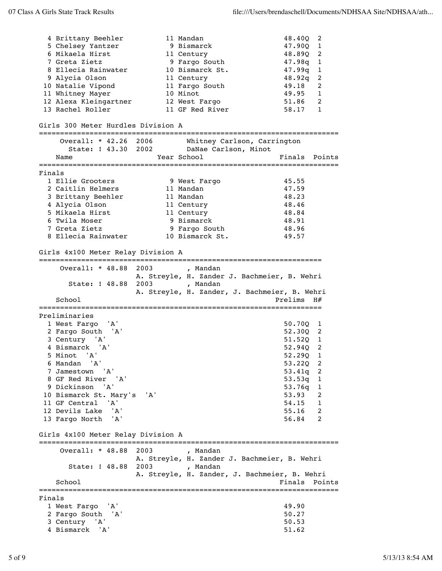|        | 4 Brittany Beehler<br>5 Chelsey Yantzer<br>6 Mikaela Hirst<br>7 Greta Zietz<br>8 Ellecia Rainwater   |      | 11 Mandan<br>9 Bismarck<br>11 Century<br>9 Fargo South<br>10 Bismarck St.    | 48.400<br>2<br>47.90Q<br>1<br>48.890<br>2<br>47.98q<br>1<br>47.99q<br>1 |
|--------|------------------------------------------------------------------------------------------------------|------|------------------------------------------------------------------------------|-------------------------------------------------------------------------|
|        | 9 Alycia Olson<br>10 Natalie Vipond<br>11 Whitney Mayer<br>12 Alexa Kleingartner<br>13 Rachel Roller |      | 11 Century<br>11 Fargo South<br>10 Minot<br>12 West Fargo<br>11 GF Red River | 48.92q<br>2<br>49.18<br>2<br>49.95<br>1<br>51.86<br>2<br>58.17<br>1     |
|        | Girls 300 Meter Hurdles Division A                                                                   |      |                                                                              |                                                                         |
|        | Overall: * 42.26 2006                                                                                |      | Whitney Carlson, Carrington                                                  |                                                                         |
|        | State: ! 43.30 2002<br>Name                                                                          |      | DaNae Carlson, Minot<br>Year School                                          | Finals<br>Points                                                        |
|        |                                                                                                      |      |                                                                              |                                                                         |
| Finals |                                                                                                      |      |                                                                              |                                                                         |
|        | 1 Ellie Grooters<br>2 Caitlin Helmers                                                                |      | 9 West Fargo<br>11 Mandan                                                    | 45.55<br>47.59                                                          |
|        | 3 Brittany Beehler                                                                                   |      | 11 Mandan                                                                    | 48.23                                                                   |
|        | 4 Alycia Olson                                                                                       |      | 11 Century                                                                   | 48.46                                                                   |
|        | 5 Mikaela Hirst                                                                                      |      | 11 Century                                                                   | 48.84                                                                   |
|        | 6 Twila Moser                                                                                        |      | 9 Bismarck                                                                   | 48.91                                                                   |
|        | 7 Greta Zietz                                                                                        |      | 9 Fargo South                                                                | 48.96                                                                   |
|        | 8 Ellecia Rainwater                                                                                  |      | 10 Bismarck St.                                                              | 49.57                                                                   |
|        | Girls 4x100 Meter Relay Division A                                                                   |      |                                                                              |                                                                         |
|        | Overall: $*$ 48.88                                                                                   | 2003 | , Mandan<br>A. Streyle, H. Zander J. Bachmeier, B. Wehri                     |                                                                         |
|        | State: ! 48.88                                                                                       | 2003 | , Mandan                                                                     |                                                                         |
|        | School                                                                                               |      | A. Streyle, H. Zander, J. Bachmeier, B. Wehri                                | Prelims<br>H#                                                           |
|        |                                                                                                      |      |                                                                              |                                                                         |
|        | Preliminaries                                                                                        |      |                                                                              |                                                                         |
|        | 1 West Fargo 'A'                                                                                     |      |                                                                              | 50.70Q<br>1<br>52.300 2                                                 |
|        | 2 Fargo South 'A'<br>3 Century 'A'                                                                   |      |                                                                              | 51.52Q<br>1                                                             |
|        | 4 Bismarck 'A'                                                                                       |      |                                                                              | 52.94Q<br>2                                                             |
|        | 5 Minot 'A'                                                                                          |      |                                                                              | 52.290 1                                                                |
|        | 6 Mandan 'A'                                                                                         |      |                                                                              | 53.22Q<br>2                                                             |
|        | 7 Jamestown 'A'                                                                                      |      |                                                                              | $53.41q$ 2                                                              |
|        | 8 GF Red River 'A'                                                                                   |      |                                                                              | 53.53q<br>1                                                             |
|        | 9 Dickinson 'A'                                                                                      |      |                                                                              | 53.76q<br>1                                                             |
|        | 10 Bismarck St. Mary's                                                                               | 'A'  |                                                                              | 53.93<br>2                                                              |
|        | 11 GF Central 'A'<br>12 Devils Lake<br>' A '                                                         |      |                                                                              | 54.15<br>1<br>2                                                         |
|        | 13 Fargo North 'A'                                                                                   |      |                                                                              | 55.16<br>2                                                              |
|        | Girls 4x100 Meter Relay Division A                                                                   |      |                                                                              | 56.84                                                                   |
|        | Overall: $*$ 48.88                                                                                   | 2003 | , Mandan                                                                     |                                                                         |
|        | State: ! 48.88                                                                                       | 2003 | A. Streyle, H. Zander J. Bachmeier, B. Wehri<br>, Mandan                     |                                                                         |
|        | School                                                                                               |      | A. Streyle, H. Zander, J. Bachmeier, B. Wehri                                | Finals<br>Points                                                        |
|        |                                                                                                      |      |                                                                              | =====================                                                   |
| Finals | 'A'                                                                                                  |      |                                                                              | 49.90                                                                   |
|        | 1 West Fargo<br>2 Fargo South 'A'                                                                    |      |                                                                              | 50.27                                                                   |
|        | 3 Century 'A'                                                                                        |      |                                                                              | 50.53                                                                   |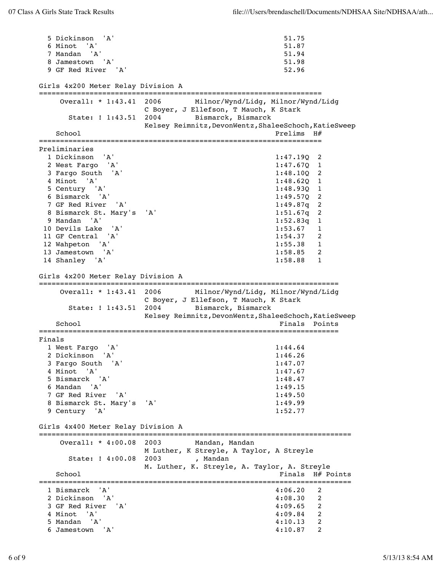5 Dickinson 'A' 51.75 6 Minot 'A' 51.87 7 Mandan 'A' 51.94 8 Jamestown 'A' 51.98 9 GF Red River 'A' 52.96 Girls 4x200 Meter Relay Division A =================================================================== Overall: \* 1:43.41 2006 Milnor/Wynd/Lidg, Milnor/Wynd/Lidg C Boyer, J Ellefson, T Mauch, K Stark State: ! 1:43.51 2004 Bismarck, Bismarck Kelsey Reimnitz,DevonWentz,ShaleeSchoch,KatieSweep School Prelims H $#$ =================================================================== Preliminaries 1 Dickinson 'A' 1:47.19Q 2 2 West Fargo 'A' 1:47.67Q 1 3 Fargo South 'A' 1:48.10Q 2 4 Minot 'A' 1:48.62Q 1 5 Century 'A' 1:48.93Q 1 6 Bismarck 'A' 1:49.57Q 2 7 GF Red River 'A' 1:49.87q 2 8 Bismarck St. Mary's 'A' 1:51.67q 2 9 Mandan 'A' 1:52.83q 1 10 Devils Lake 'A' 1:53.67 1 11 GF Central 'A' 1:54.37 2 12 Wahpeton 'A' 1:55.38 1 13 Jamestown 'A' 1:58.85 2 14 Shanley 'A' 1:58.88 1 Girls 4x200 Meter Relay Division A ======================================================================= Overall: \* 1:43.41 2006 Milnor/Wynd/Lidg, Milnor/Wynd/Lidg C Boyer, J Ellefson, T Mauch, K Stark State: ! 1:43.51 2004 Bismarck, Bismarck Kelsey Reimnitz, DevonWentz, ShaleeSchoch, KatieSweep School **Finals** Points ======================================================================= Finals 1 West Fargo 'A' 1:44.64 2 Dickinson 'A' 1:46.26 3 Fargo South 'A' 1:47.07 4 Minot 'A' 1:47.67 5 Bismarck 'A' 1:48.47 6 Mandan 'A' 1:49.15 7 GF Red River 'A' 1:49.50 8 Bismarck St. Mary's 'A' 1:49.99 9 Century 'A' 1:52.77 Girls 4x400 Meter Relay Division A ========================================================================== Overall: \* 4:00.08 2003 Mandan, Mandan M Luther, K Streyle, A Taylor, A Streyle State: ! 4:00.08 2003 , Mandan M. Luther, K. Streyle, A. Taylor, A. Streyle School **Finals H**# Points ========================================================================== 1 Bismarck 'A' 4:06.20<br>2 Dickinson 'A' 4:08.30 2 Dickinson 'A' 4:08.30 2 3 GF Red River 'A' 4:09.65 2<br>4 Minot 'A' 4:09.84 2 4 Minot 'A' 4:09.84 2 5 Mandan 'A' 4:10.13 2 6 Jamestown 'A' 4:10.87 2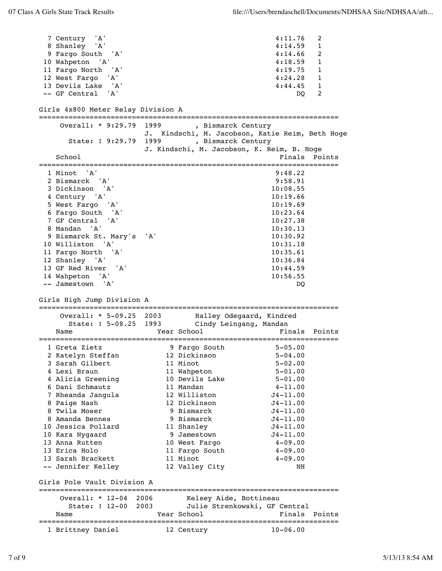7 Century 'A' 4:11.76 2 8 Shanley 'A' 4:14.59 1 9 Fargo South 'A' 4:14.66 2 10 Wahpeton 'A' 4:18.59 1 11 Fargo North 'A' 4:19.75 1 12 West Fargo 'A' 4:24.28 1 13 Devils Lake 'A' 4:44.45 1 -- GF Central 'A' DQ 2 Girls 4x800 Meter Relay Division A ======================================================================= Overall: \* 9:29.79 1999 , Bismarck Century J. Kindschi, M. Jacobson, Katie Reim, Beth Hoge State: ! 9:29.79 1999 , Bismarck Century J. Kindschi, M. Jacobson, K. Reim, B. Hoge School **Finals** Points **Points** ======================================================================= 1 Minot 'A' 9:48.22 2 Bismarck 'A' 9:58.91 3 Dickinson 'A' 10:08.55 4 Century 'A' 10:19.66 5 West Fargo 'A' 10:19.69 6 Fargo South 'A' 10:23.64 7 GF Central 'A' 10:27.38 8 Mandan 'A' 10:30.13 9 Bismarck St. Mary's 'A' 10:30.92 10 Williston 'A' 10:31.18 11 Fargo North 'A' 10:35.61 12 Shanley 'A' 10:36.84 13 GF Red River 'A' 10:44.59 14 Wahpeton 'A' 10:56.55 -- Jamestown 'A' DQ Girls High Jump Division A ======================================================================= Overall: \* 5-09.25 2003 Halley Odegaard, Kindred State: ! 5-08.25 1993 Cindy Leingang, Mandan Name Year School Finals Points ======================================================================= 1 Greta Zietz 9 Fargo South 5-05.00 2 Katelyn Steffan 12 Dickinson 5-04.00 3 Sarah Gilbert 11 Minot 5-02.00 4 Lexi Braun 11 Wahpeton 5-01.00 4 Alicia Greening 10 Devils Lake 5-01.00 6 Dani Schmautz 11 Mandan 4-11.00 7 Rheanda Jangula 12 Williston J4-11.00 8 Paige Nash 12 Dickinson J4-11.00 8 Twila Moser 9 Bismarck J4-11.00 8 Amanda Bennes 9 Bismarck J4-11.00 10 Jessica Pollard 11 Shanley J4-11.00 10 Kara Nygaard 9 Jamestown J4-11.00 13 Anna Rutten 10 West Fargo 4-09.00 13 Erica Holo 11 Fargo South 4-09.00 13 Sarah Brackett 11 Minot 4-09.00 -- Jennifer Kelley 12 Valley City NH Girls Pole Vault Division A ======================================================================= Overall: \* 12-04 2006 Kelsey Aide, Bottineau State: ! 12-00 2003 Julie Strenkowski, GF Central Name The Year School Team Points Points ======================================================================= 1 Brittney Daniel 12 Century 10-06.00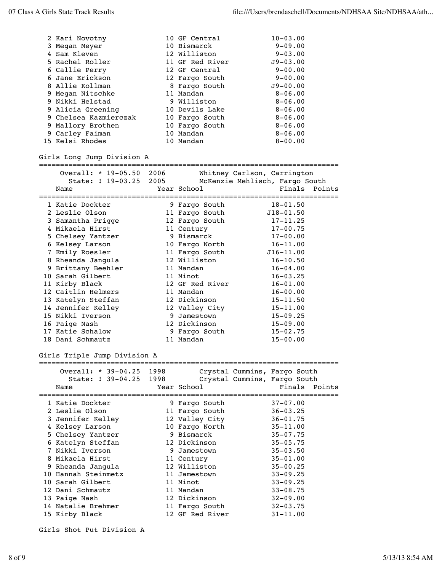| 2 Kari Novotny               |      | 10 GF Central   | $10 - 03.00$                   |
|------------------------------|------|-----------------|--------------------------------|
| 3 Megan Meyer                |      | 10 Bismarck     | $9 - 09.00$                    |
| 4 Sam Kleven                 |      | 12 Williston    | $9 - 03.00$                    |
| 5 Rachel Roller              |      | 11 GF Red River | $J9 - 03.00$                   |
| 6 Callie Perry               |      | 12 GF Central   | $9 - 00.00$                    |
| 6 Jane Erickson              |      | 12 Fargo South  | $9 - 00.00$                    |
| 8 Allie Kollman              |      | 8 Fargo South   | $J9 - 00.00$                   |
| 9 Megan Nitschke             |      | 11 Mandan       | $8 - 06.00$                    |
| 9 Nikki Helstad              |      | 9 Williston     | $8 - 06.00$                    |
| 9 Alicia Greening            |      | 10 Devils Lake  | $8 - 06.00$                    |
| 9 Chelsea Kazmierczak        |      | 10 Fargo South  | $8 - 06.00$                    |
| 9 Mallory Brothen            |      | 10 Fargo South  | $8 - 06.00$                    |
| 9 Carley Faiman              |      | 10 Mandan       | $8 - 06.00$                    |
| 15 Kelsi Rhodes              |      | 10 Mandan       | $8 - 00.00$                    |
| Girls Long Jump Division A   |      |                 |                                |
| Overall: * 19-05.50 2006     |      |                 | Whitney Carlson, Carrington    |
| State: ! 19-03.25            | 2005 |                 | McKenzie Mehlisch, Fargo South |
| Name                         |      | Year School     | Finals<br>Points               |
|                              |      |                 |                                |
| 1 Katie Dockter              |      | 9 Fargo South   | $18 - 01.50$                   |
| 2 Leslie Olson               |      | 11 Fargo South  | $J18 - 01.50$                  |
| 3 Samantha Prigge            |      | 12 Fargo South  | $17 - 11.25$                   |
| 4 Mikaela Hirst              |      | 11 Century      | $17 - 00.75$                   |
| 5 Chelsey Yantzer            |      | 9 Bismarck      | $17 - 00.00$                   |
| 6 Kelsey Larson              |      | 10 Fargo North  | $16 - 11.00$                   |
| 7 Emily Roesler              |      | 11 Fargo South  | $J16 - 11.00$                  |
| 8 Rheanda Jangula            |      | 12 Williston    | $16 - 10.50$                   |
| 9 Brittany Beehler           |      | 11 Mandan       | $16 - 04.00$                   |
| 10 Sarah Gilbert             |      | 11 Minot        | $16 - 03.25$                   |
| 11 Kirby Black               |      | 12 GF Red River | $16 - 01.00$                   |
| 12 Caitlin Helmers           |      | 11 Mandan       | $16 - 00.00$                   |
| 13 Katelyn Steffan           |      | 12 Dickinson    | $15 - 11.50$                   |
| 14 Jennifer Kelley           |      | 12 Valley City  | $15 - 11.00$                   |
| 15 Nikki Iverson             |      | 9 Jamestown     | $15 - 09.25$                   |
| 16 Paige Nash                |      | 12 Dickinson    | $15 - 09.00$                   |
| 17 Katie Schalow             |      | 9 Fargo South   | $15 - 02.75$                   |
| 18 Dani Schmautz             |      | 11 Mandan       | $15 - 00.00$                   |
| Girls Triple Jump Division A |      |                 |                                |
| Overall: * 39-04.25 1998     |      |                 | Crystal Cummins, Fargo South   |
| State: ! 39-04.25 1998       |      |                 | Crystal Cummins, Fargo South   |
| Name                         |      | Year School     | Finals<br>Points               |
|                              |      |                 |                                |
| 1 Katie Dockter              |      | 9 Fargo South   | $37 - 07.00$                   |
| 2 Leslie Olson               |      | 11 Fargo South  | $36 - 03.25$                   |
| 3 Jennifer Kelley            |      | 12 Valley City  | $36 - 01.75$                   |
| 4 Kelsey Larson              |      | 10 Fargo North  | $35 - 11.00$                   |
| 5 Chelsey Yantzer            |      | 9 Bismarck      | $35 - 07.75$                   |
| 6 Katelyn Steffan            |      | 12 Dickinson    | $35 - 05.75$                   |
| 7 Nikki Iverson              |      | 9 Jamestown     | $35 - 03.50$                   |
| 8 Mikaela Hirst              |      | 11 Century      | $35 - 01.00$                   |
| 9 Rheanda Jangula            |      | 12 Williston    | $35 - 00.25$                   |
| 10 Hannah Steinmetz          |      | 11 Jamestown    | $33 - 09.25$                   |
| 10 Sarah Gilbert             |      | 11 Minot        | $33 - 09.25$                   |
| 12 Dani Schmautz             |      | 11 Mandan       | $33 - 08.75$                   |
| 13 Paige Nash                |      | 12 Dickinson    | $32 - 09.00$                   |
| 14 Natalie Brehmer           |      | 11 Fargo South  | $32 - 03.75$                   |
| 15 Kirby Black               |      | 12 GF Red River | $31 - 11.00$                   |
|                              |      |                 |                                |

Girls Shot Put Division A